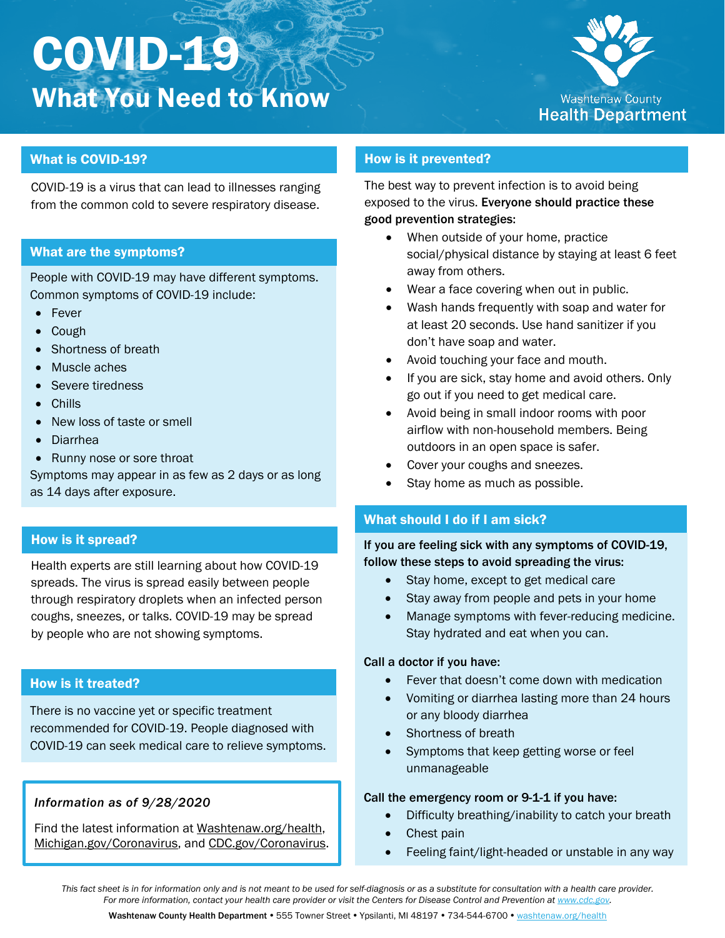# COVID-19 What You Need to Know



# What is COVID-19?

COVID-19 is a virus that can lead to illnesses ranging from the common cold to severe respiratory disease.

## What are the symptoms?

People with COVID-19 may have different symptoms. Common symptoms of COVID-19 include:

- Fever
- Cough
- Shortness of breath
- Muscle aches
- Severe tiredness
- Chills
- New loss of taste or smell
- Diarrhea
- Runny nose or sore throat

Symptoms may appear in as few as 2 days or as long as 14 days after exposure.

# How is it spread?

Health experts are still learning about how COVID-19 spreads. The virus is spread easily between people through respiratory droplets when an infected person coughs, sneezes, or talks. COVID-19 may be spread by people who are not showing symptoms.

## How is it treated?

There is no vaccine yet or specific treatment recommended for COVID-19. People diagnosed with COVID-19 can seek medical care to relieve symptoms.

## *Information as of 9/28/2020*

Find the latest information at [Washtenaw.org/health,](https://washtenaw.org/1129/Health-Department) [Michigan.gov/Coronavirus,](https://www.michigan.gov/mdhhs/0,5885,7-339-71550_5104_97675---,00.html) and [CDC.gov/Coronavirus.](https://www.cdc.gov/coronavirus/)

# How is it prevented?

The best way to prevent infection is to avoid being exposed to the virus. Everyone should practice these good prevention strategies:

- When outside of your home, practice social/physical distance by staying at least 6 feet away from others.
- Wear a face covering when out in public.
- Wash hands frequently with soap and water for at least 20 seconds. Use hand sanitizer if you don't have soap and water.
- Avoid touching your face and mouth.
- If you are sick, stay home and avoid others. Only go out if you need to get medical care.
- Avoid being in small indoor rooms with poor airflow with non-household members. Being outdoors in an open space is safer.
- Cover your coughs and sneezes.
- Stay home as much as possible.

# What should I do if I am sick?

If you are feeling sick with any symptoms of COVID-19, follow these steps to avoid spreading the virus:

- Stay home, except to get medical care
- Stay away from people and pets in your home
- Manage symptoms with fever-reducing medicine. Stay hydrated and eat when you can.

#### Call a doctor if you have:

- Fever that doesn't come down with medication
- Vomiting or diarrhea lasting more than 24 hours or any bloody diarrhea
- Shortness of breath
- Symptoms that keep getting worse or feel unmanageable

## Call the emergency room or 9-1-1 if you have:

- Difficulty breathing/inability to catch your breath
- Chest pain
- Feeling faint/light-headed or unstable in any way

*This fact sheet is in for information only and is not meant to be used for self-diagnosis or as a substitute for consultation with a health care provider. For more information, contact your health care provider or visit the Centers for Disease Control and Prevention a[t www.cdc.gov.](http://www.cdc.gov/)*